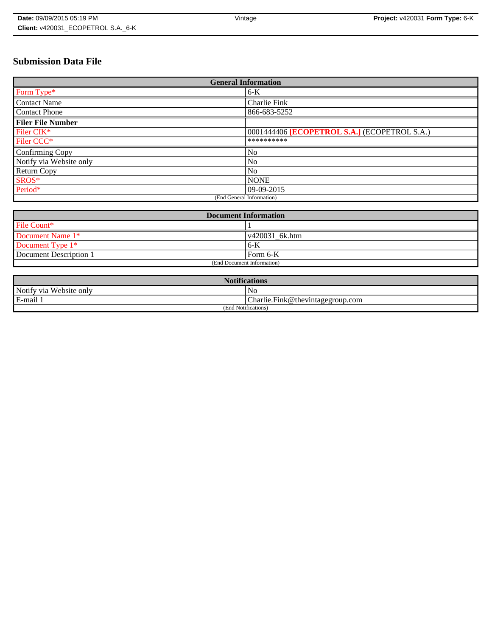# **Submission Data File**

| <b>General Information</b> |                                              |
|----------------------------|----------------------------------------------|
| Form Type*                 | $6-K$                                        |
| <b>Contact Name</b>        | <b>Charlie Fink</b>                          |
| <b>Contact Phone</b>       | 866-683-5252                                 |
| <b>Filer File Number</b>   |                                              |
| Filer CIK*                 | 0001444406 [ECOPETROL S.A.] (ECOPETROL S.A.) |
| Filer CCC <sup>*</sup>     | **********                                   |
| <b>Confirming Copy</b>     | No                                           |
| Notify via Website only    | No                                           |
| Return Copy                | N <sub>0</sub>                               |
| SROS*                      | <b>NONE</b>                                  |
| Period*                    | $09-09-2015$                                 |
| (End General Information)  |                                              |

| <b>Document Information</b> |                |
|-----------------------------|----------------|
| File Count*                 |                |
| Document Name 1*            | v420031 6k.htm |
| Document Type $1*$          | $6 - K$        |
| Document Description 1      | Form 6-K       |
| (End Document Information)  |                |

| <b>Notifications</b>       |                                  |
|----------------------------|----------------------------------|
| Notify via<br>Website only | No                               |
| E-mail                     | Charlie.Fink@thevintagegroup.com |
| (End Notifications)        |                                  |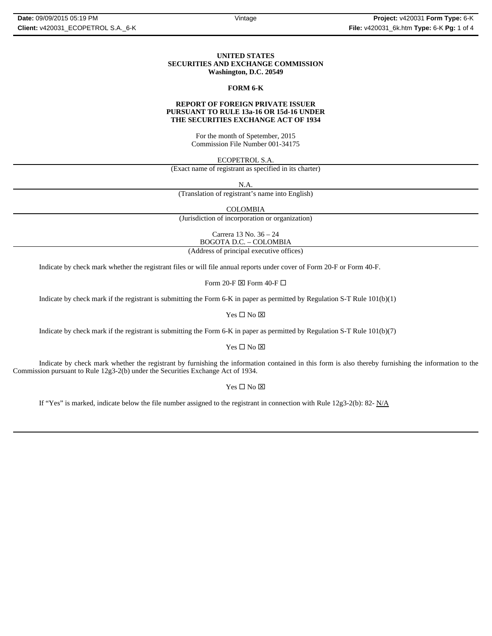### **UNITED STATES SECURITIES AND EXCHANGE COMMISSION Washington, D.C. 20549**

### **FORM 6-K**

### **REPORT OF FOREIGN PRIVATE ISSUER PURSUANT TO RULE 13a-16 OR 15d-16 UNDER THE SECURITIES EXCHANGE ACT OF 1934**

For the month of Spetember, 2015 Commission File Number 001-34175

ECOPETROL S.A.

(Exact name of registrant as specified in its charter)

N.A.

(Translation of registrant's name into English)

COLOMBIA

(Jurisdiction of incorporation or organization)

Carrera 13 No. 36 – 24 BOGOTA D.C. – COLOMBIA

(Address of principal executive offices)

Indicate by check mark whether the registrant files or will file annual reports under cover of Form 20-F or Form 40-F.

Form 20-F  $\boxtimes$  Form 40-F  $\Box$ 

Indicate by check mark if the registrant is submitting the Form 6-K in paper as permitted by Regulation S-T Rule 101(b)(1)

Yes  $\square$  No  $\square$ 

Indicate by check mark if the registrant is submitting the Form 6-K in paper as permitted by Regulation S-T Rule 101(b)(7)

Yes □ No ⊠

Indicate by check mark whether the registrant by furnishing the information contained in this form is also thereby furnishing the information to the Commission pursuant to Rule 12g3-2(b) under the Securities Exchange Act of 1934.

Yes  $\square$  No  $\square$ 

If "Yes" is marked, indicate below the file number assigned to the registrant in connection with Rule 12g3-2(b): 82- N/A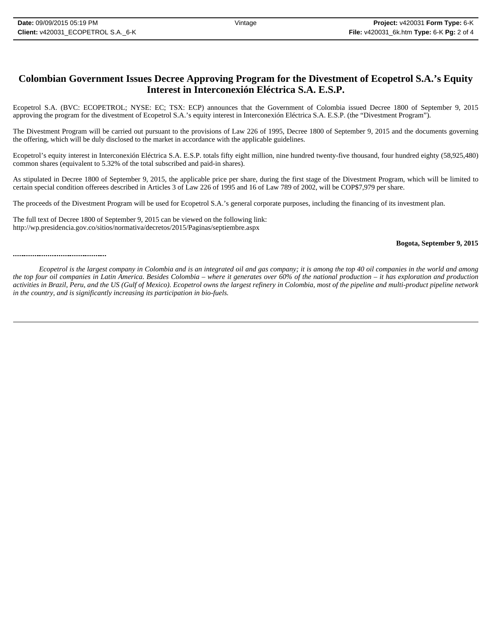## **Colombian Government Issues Decree Approving Program for the Divestment of Ecopetrol S.A.'s Equity Interest in Interconexión Eléctrica S.A. E.S.P.**

Ecopetrol S.A. (BVC: ECOPETROL; NYSE: EC; TSX: ECP) announces that the Government of Colombia issued Decree 1800 of September 9, 2015 approving the program for the divestment of Ecopetrol S.A.'s equity interest in Interconexión Eléctrica S.A. E.S.P. (the "Divestment Program").

The Divestment Program will be carried out pursuant to the provisions of Law 226 of 1995, Decree 1800 of September 9, 2015 and the documents governing the offering, which will be duly disclosed to the market in accordance with the applicable guidelines.

Ecopetrol's equity interest in Interconexión Eléctrica S.A. E.S.P. totals fifty eight million, nine hundred twenty-five thousand, four hundred eighty (58,925,480) common shares (equivalent to 5.32% of the total subscribed and paid-in shares).

As stipulated in Decree 1800 of September 9, 2015, the applicable price per share, during the first stage of the Divestment Program, which will be limited to certain special condition offerees described in Articles 3 of Law 226 of 1995 and 16 of Law 789 of 2002, will be COP\$7,979 per share.

The proceeds of the Divestment Program will be used for Ecopetrol S.A.'s general corporate purposes, including the financing of its investment plan.

The full text of Decree 1800 of September 9, 2015 can be viewed on the following link: http://wp.presidencia.gov.co/sitios/normativa/decretos/2015/Paginas/septiembre.aspx

## **Bogota, September 9, 2015**

#### 

*Ecopetrol is the largest company in Colombia and is an integrated oil and gas company; it is among the top 40 oil companies in the world and among the top four oil companies in Latin America. Besides Colombia – where it generates over 60% of the national production – it has exploration and production activities in Brazil, Peru, and the US (Gulf of Mexico). Ecopetrol owns the largest refinery in Colombia, most of the pipeline and multi-product pipeline network in the country, and is significantly increasing its participation in bio-fuels.*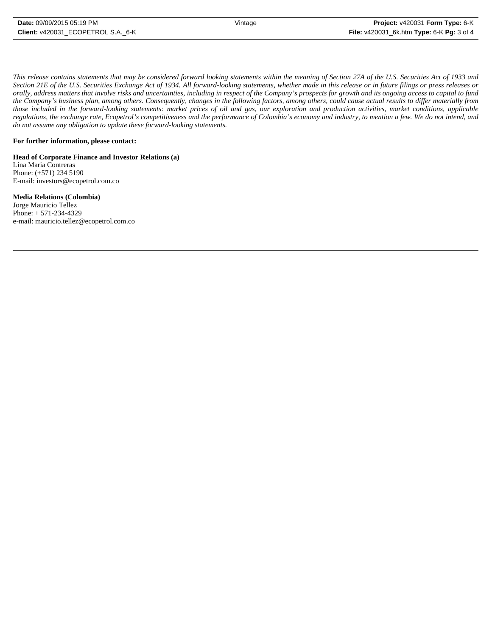*This release contains statements that may be considered forward looking statements within the meaning of Section 27A of the U.S. Securities Act of 1933 and Section 21E of the U.S. Securities Exchange Act of 1934. All forward-looking statements, whether made in this release or in future filings or press releases or orally, address matters that involve risks and uncertainties, including in respect of the Company's prospects for growth and its ongoing access to capital to fund the Company's business plan, among others. Consequently, changes in the following factors, among others, could cause actual results to differ materially from those included in the forward-looking statements: market prices of oil and gas, our exploration and production activities, market conditions, applicable regulations, the exchange rate, Ecopetrol's competitiveness and the performance of Colombia's economy and industry, to mention a few. We do not intend, and do not assume any obligation to update these forward-looking statements.*

## **For further information, please contact:**

**Head of Corporate Finance and Investor Relations (a)** Lina Maria Contreras Phone: (+571) 234 5190 E-mail: investors@ecopetrol.com.co

**Media Relations (Colombia)**  Jorge Mauricio Tellez Phone: + 571-234-4329 e-mail: mauricio.tellez@ecopetrol.com.co